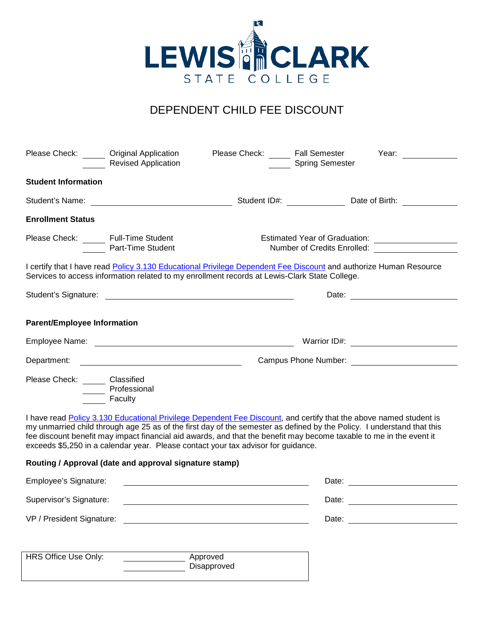

## DEPENDENT CHILD FEE DISCOUNT

| Please Check: Original Application    | <b>Revised Application</b>                                                                                                                                                                                                                                                                                                                                                                                                                               | Please Check: Fall Semester                             | <b>Spring Semester</b>                                       | Year:                                                                                                                                                                                                                          |  |
|---------------------------------------|----------------------------------------------------------------------------------------------------------------------------------------------------------------------------------------------------------------------------------------------------------------------------------------------------------------------------------------------------------------------------------------------------------------------------------------------------------|---------------------------------------------------------|--------------------------------------------------------------|--------------------------------------------------------------------------------------------------------------------------------------------------------------------------------------------------------------------------------|--|
| <b>Student Information</b>            |                                                                                                                                                                                                                                                                                                                                                                                                                                                          |                                                         |                                                              |                                                                                                                                                                                                                                |  |
|                                       | Student's Name: <u>________________________________</u>                                                                                                                                                                                                                                                                                                                                                                                                  |                                                         |                                                              |                                                                                                                                                                                                                                |  |
| <b>Enrollment Status</b>              |                                                                                                                                                                                                                                                                                                                                                                                                                                                          |                                                         |                                                              |                                                                                                                                                                                                                                |  |
| Please Check: _____ Full-Time Student | Part-Time Student                                                                                                                                                                                                                                                                                                                                                                                                                                        |                                                         | Estimated Year of Graduation:<br>Number of Credits Enrolled: |                                                                                                                                                                                                                                |  |
|                                       | I certify that I have read Policy 3.130 Educational Privilege Dependent Fee Discount and authorize Human Resource<br>Services to access information related to my enrollment records at Lewis-Clark State College.                                                                                                                                                                                                                                       |                                                         |                                                              |                                                                                                                                                                                                                                |  |
|                                       |                                                                                                                                                                                                                                                                                                                                                                                                                                                          |                                                         |                                                              |                                                                                                                                                                                                                                |  |
| <b>Parent/Employee Information</b>    |                                                                                                                                                                                                                                                                                                                                                                                                                                                          |                                                         |                                                              |                                                                                                                                                                                                                                |  |
|                                       |                                                                                                                                                                                                                                                                                                                                                                                                                                                          |                                                         |                                                              |                                                                                                                                                                                                                                |  |
|                                       |                                                                                                                                                                                                                                                                                                                                                                                                                                                          |                                                         |                                                              |                                                                                                                                                                                                                                |  |
| Please Check: ______ Classified       | Professional<br>Faculty                                                                                                                                                                                                                                                                                                                                                                                                                                  |                                                         |                                                              |                                                                                                                                                                                                                                |  |
|                                       | I have read Policy 3.130 Educational Privilege Dependent Fee Discount, and certify that the above named student is<br>my unmarried child through age 25 as of the first day of the semester as defined by the Policy. I understand that this<br>fee discount benefit may impact financial aid awards, and that the benefit may become taxable to me in the event it<br>exceeds \$5,250 in a calendar year. Please contact your tax advisor for guidance. |                                                         |                                                              |                                                                                                                                                                                                                                |  |
|                                       | Routing / Approval (date and approval signature stamp)                                                                                                                                                                                                                                                                                                                                                                                                   |                                                         |                                                              |                                                                                                                                                                                                                                |  |
| Employee's Signature:                 |                                                                                                                                                                                                                                                                                                                                                                                                                                                          | <u> 1989 - Johann Barbara, martin amerikan basal da</u> |                                                              | Date: the contract of the contract of the contract of the contract of the contract of the contract of the contract of the contract of the contract of the contract of the contract of the contract of the contract of the cont |  |
| Supervisor's Signature:               |                                                                                                                                                                                                                                                                                                                                                                                                                                                          |                                                         | Date:                                                        |                                                                                                                                                                                                                                |  |
|                                       |                                                                                                                                                                                                                                                                                                                                                                                                                                                          |                                                         |                                                              | Date: the contract of the contract of the contract of the contract of the contract of the contract of the contract of the contract of the contract of the contract of the contract of the contract of the contract of the cont |  |
| HRS Office Use Only:                  | Approved                                                                                                                                                                                                                                                                                                                                                                                                                                                 |                                                         |                                                              |                                                                                                                                                                                                                                |  |
|                                       |                                                                                                                                                                                                                                                                                                                                                                                                                                                          | Disapproved                                             |                                                              |                                                                                                                                                                                                                                |  |